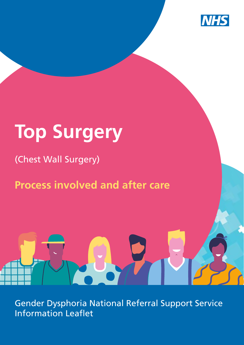

# **Top Surgery**

### (Chest Wall Surgery)

## **Process involved and after care**

Gender Dysphoria National Referral Support Service Information Leaflet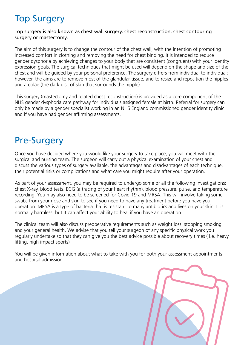## Top Surgery

#### Top surgery is also known as chest wall surgery, chest reconstruction, chest contouring surgery or mastectomy.

The aim of this surgery is to change the contour of the chest wall, with the intention of promoting increased comfort in clothing and removing the need for chest binding. It is intended to reduce gender dysphoria by achieving changes to your body that are consistent (congruent) with your identity expression goals. The surgical techniques that might be used will depend on the shape and size of the chest and will be guided by your personal preference. The surgery differs from individual to individual; however, the aims are to remove most of the glandular tissue, and to resize and reposition the nipples and areolae (the dark disc of skin that surrounds the nipple).

This surgery (mastectomy and related chest reconstruction) is provided as a core component of the NHS gender dysphoria care pathway for individuals assigned female at birth. Referral for surgery can only be made by a gender specialist working in an NHS England commissioned gender identity clinic and if you have had gender affirming assessments.

#### Pre-Surgery

Once you have decided where you would like your surgery to take place, you will meet with the surgical and nursing team. The surgeon will carry out a physical examination of your chest and discuss the various types of surgery available, the advantages and disadvantages of each technique, their potential risks or complications and what care you might require after your operation.

As part of your assessment, you may be required to undergo some or all the following investigations: chest X-ray, blood tests, ECG (a tracing of your heart rhythm), blood pressure, pulse, and temperature recording. You may also need to be screened for Covid-19 and MRSA. This will involve taking some swabs from your nose and skin to see if you need to have any treatment before you have your operation. MRSA is a type of bacteria that is resistant to many antibiotics and lives on your skin. It is normally harmless, but it can affect your ability to heal if you have an operation.

The clinical team will also discuss preoperative requirements such as weight loss, stopping smoking and your general health. We advise that you tell your surgeon of any specific physical work you regularly undertake so that they can give you the best advice possible about recovery times ( i.e. heavy lifting, high impact sports)

You will be given information about what to take with you for both your assessment appointments and hospital admission.

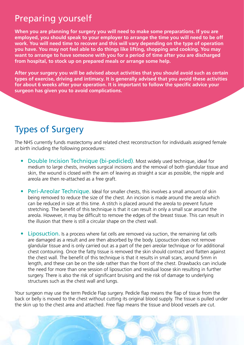#### Preparing yourself

**When you are planning for surgery you will need to make some preparations. If you are employed, you should speak to your employer to arrange the time you will need to be off work. You will need time to recover and this will vary depending on the type of operation you have. You may not feel able to do things like lifting, shopping and cooking. You may want to arrange to have someone with you for a period of time after you are discharged from hospital, to stock up on prepared meals or arrange some help.** 

**After your surgery you will be advised about activities that you should avoid such as certain types of exercise, driving and intimacy. It is generally advised that you avoid these activities for about 6 weeks after your operation. It is important to follow the specific advice your surgeon has given you to avoid complications.**

### Types of Surgery

The NHS currently funds mastectomy and related chest reconstruction for individuals assigned female at birth including the following procedures:

- Double Incision Technique (bi-pedicled). Most widely used technique, ideal for medium to large chests, involves surgical incisions and the removal of both glandular tissue and skin, the wound is closed with the aim of leaving as straight a scar as possible, the nipple and areola are then re-attached as a free graft.
- Peri-Areolar Technique. Ideal for smaller chests, this involves a small amount of skin being removed to reduce the size of the chest. An incision is made around the areola which can be reduced in size at this time. A stitch is placed around the areola to prevent future stretching. The benefit of this technique is that it can result in only a small scar around the areola. However, it may be difficult to remove the edges of the breast tissue. This can result in the illusion that there is still a circular shape on the chest wall.
- **Liposuction.** Is a process where fat cells are removed via suction, the remaining fat cells are damaged as a result and are then absorbed by the body. Liposuction does not remove glandular tissue and is only carried out as a part of the peri areolar technique or for additional chest contouring. Once the fatty tissue is removed the skin should contract and flatten against the chest wall. The benefit of this technique is that it results in small scars, around 5mm in length, and these can be on the side rather than the front of the chest. Drawbacks can include the need for more than one session of liposuction and residual loose skin resulting in further surgery. There is also the risk of significant bruising and the risk of damage to underlying structures such as the chest wall and lungs.

Your surgeon may use the term Pedicle Flap surgery. Pedicle flap means the flap of tissue from the back or belly is moved to the chest without cutting its original blood supply. The tissue is pulled under the skin up to the chest area and attached. Free flap means the tissue and blood vessels are cut.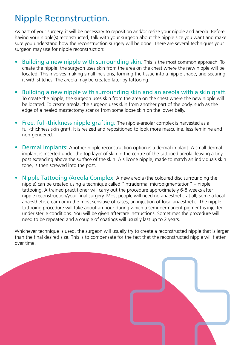#### Nipple Reconstruction.

As part of your surgery, it will be necessary to reposition and/or resize your nipple and areola. Before having your nipple(s) reconstructed, talk with your surgeon about the nipple size you want and make sure you understand how the reconstruction surgery will be done. There are several techniques your surgeon may use for nipple reconstruction:

- Building a new nipple with surrounding skin. This is the most common approach. To create the nipple, the surgeon uses skin from the area on the chest where the new nipple will be located. This involves making small incisions, forming the tissue into a nipple shape, and securing it with stitches. The areola may be created later by tattooing.
- Building a new nipple with surrounding skin and an areola with a skin graft. To create the nipple, the surgeon uses skin from the area on the chest where the new nipple will be located. To create areola, the surgeon uses skin from another part of the body, such as the edge of a healed mastectomy scar or from some loose skin on the lower belly.
- Free, full-thickness nipple grafting: The nipple-areolar complex is harvested as a full-thickness skin graft. It is resized and repositioned to look more masculine, less feminine and non-gendered.
- Dermal Implants: Another nipple reconstruction option is a dermal implant. A small dermal implant is inserted under the top layer of skin in the centre of the tattooed areola, leaving a tiny post extending above the surface of the skin. A silicone nipple, made to match an individuals skin tone, is then screwed into the post.
- Nipple Tattooing /Areola Complex: A new areola (the coloured disc surrounding the nipple) can be created using a technique called "intradermal micropigmentation" – nipple tattooing. A trained practitioner will carry out the procedure approximately 6-8 weeks after nipple reconstruction/your final surgery. Most people will need no anaesthetic at all, some a local anaesthetic cream or in the most sensitive of cases, an injection of local anaesthetic. The nipple tattooing procedure will take about an hour during which a semi-permanent pigment is injected under sterile conditions. You will be given aftercare instructions. Sometimes the procedure will need to be repeated and a couple of coatings will usually last up to 2 years.

Whichever technique is used, the surgeon will usually try to create a reconstructed nipple that is larger than the final desired size. This is to compensate for the fact that the reconstructed nipple will flatten over time.

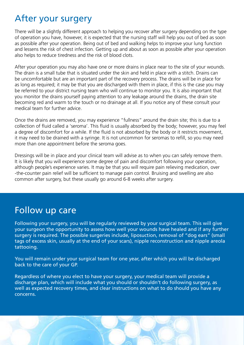#### After your surgery

There will be a slightly different approach to helping you recover after surgery depending on the type of operation you have, however, it is expected that the nursing staff will help you out of bed as soon as possible after your operation. Being out of bed and walking helps to improve your lung function and lessens the risk of chest infection. Getting up and about as soon as possible after your operation also helps to reduce tiredness and the risk of blood clots.

After your operation you may also have one or more drains in place near to the site of your wounds. The drain is a small tube that is situated under the skin and held in place with a stitch. Drains can be uncomfortable but are an important part of the recovery process. The drains will be in place for as long as required; it may be that you are discharged with them in place, if this is the case you may be referred to your district nursing team who will continue to monitor you. It is also important that you monitor the drains yourself paying attention to any leakage around the drains, the drain site becoming red and warm to the touch or no drainage at all. If you notice any of these consult your medical team for further advice.

Once the drains are removed, you may experience "fullness" around the drain site; this is due to a collection of fluid called a 'seroma'. This fluid is usually absorbed by the body; however, you may feel a degree of discomfort for a while. If the fluid is not absorbed by the body or it restricts movement, it may need to be drained with a syringe. It is not uncommon for seromas to refill, so you may need more than one appointment before the seroma goes.

Dressings will be in place and your clinical team will advise as to when you can safely remove them. It is likely that you will experience some degree of pain and discomfort following your operation, although people's experience varies. It may be that you will require pain relieving medication, over -the-counter pain relief will be sufficient to manage pain control. Bruising and swelling are also common after surgery, but these usually go around 6-8 weeks after surgery.

#### Follow up care

Following your surgery, you will be regularly reviewed by your surgical team. This will give your surgeon the opportunity to assess how well your wounds have healed and if any further surgery is required. The possible surgeries include, liposuction, removal of "dog ears" (small tags of excess skin, usually at the end of your scars), nipple reconstruction and nipple areola tattooing.

You will remain under your surgical team for one year, after which you will be discharged back to the care of your GP.

Regardless of where you elect to have your surgery, your medical team will provide a discharge plan, which will include what you should or shouldn't do following surgery, as well as expected recovery times, and clear instructions on what to do should you have any concerns.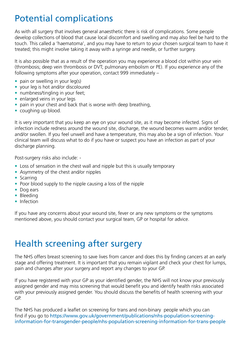#### Potential complications

As with all surgery that involves general anaesthetic there is risk of complications. Some people develop collections of blood that cause local discomfort and swelling and may also feel be hard to the touch. This called a 'haematoma', and you may have to return to your chosen surgical team to have it treated; this might involve taking it away with a syringe and needle, or further surgery.

It is also possible that as a result of the operation you may experience a blood clot within your vein (thrombosis; deep vein thrombosis or DVT; pulmonary embolism or PE). If you experience any of the following symptoms after your operation, contact 999 immediately –

- pain or swelling in your leg(s)
- your leg is hot and/or discoloured
- numbness/tingling in your feet;
- enlarged veins in your legs
- pain in your chest and back that is worse with deep breathing,
- coughing up blood.

It is very important that you keep an eye on your wound site, as it may become infected. Signs of infection include redness around the wound site, discharge, the wound becomes warm and/or tender, and/or swollen. If you feel unwell and have a temperature, this may also be a sign of infection. Your clinical team will discuss what to do if you have or suspect you have an infection as part of your discharge planning.

Post-surgery risks also include: -

- Loss of sensation in the chest wall and nipple but this is usually temporary
- Asymmetry of the chest and/or nipples
- Scarring
- Poor blood supply to the nipple causing a loss of the nipple
- Dog ears
- Bleeding
- Infection

If you have any concerns about your wound site, fever or any new symptoms or the symptoms mentioned above, you should contact your surgical team, GP or hospital for advice.

#### Health screening after surgery

The NHS offers breast screening to save lives from cancer and does this by finding cancers at an early stage and offering treatment. It is important that you remain vigilant and check your chest for lumps, pain and changes after your surgery and report any changes to your GP.

If you have registered with your GP as your identified gender, the NHS will not know your previously assigned gender and may miss screening that would benefit you and identify health risks associated with your previously assigned gender. You should discuss the benefits of health screening with your GP.

The NHS has produced a leaflet on screening for trans and non-binary people which you can find if you go to [https://www.gov.uk/government/publications/nhs-population-screening](https://www.gov.uk/government/publications/nhs-population-screening-information-for-transgender-people/nhs-population-screening-information-for-trans-people)[information-for-transgender-people/nhs-population-screening-information-for-trans-people](https://www.gov.uk/government/publications/nhs-population-screening-information-for-transgender-people/nhs-population-screening-information-for-trans-people)